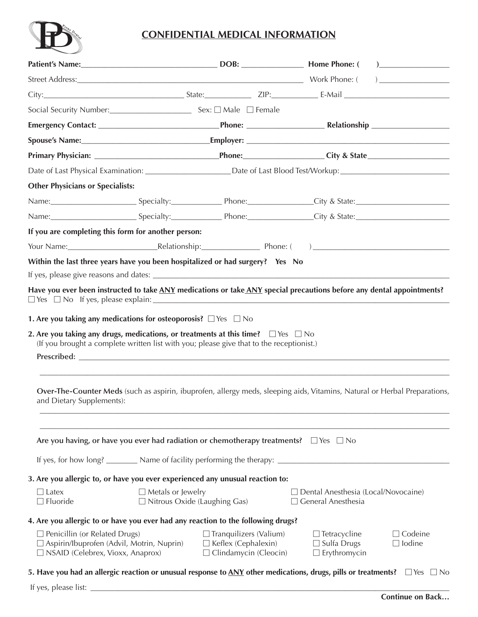

## **CONFIDENTIAL MEDICAL INFORMATION**

| <b>Other Physicians or Specialists:</b>                                                                                                                                      |                          |                                                                                                 |                                                                                                                                              |                                 |
|------------------------------------------------------------------------------------------------------------------------------------------------------------------------------|--------------------------|-------------------------------------------------------------------------------------------------|----------------------------------------------------------------------------------------------------------------------------------------------|---------------------------------|
|                                                                                                                                                                              |                          |                                                                                                 |                                                                                                                                              |                                 |
|                                                                                                                                                                              |                          |                                                                                                 | Name: Specialty: Specialty: Phone: City & State: City & State:                                                                               |                                 |
| If you are completing this form for another person:                                                                                                                          |                          |                                                                                                 |                                                                                                                                              |                                 |
|                                                                                                                                                                              |                          |                                                                                                 |                                                                                                                                              |                                 |
| Within the last three years have you been hospitalized or had surgery? Yes No                                                                                                |                          |                                                                                                 |                                                                                                                                              |                                 |
|                                                                                                                                                                              |                          |                                                                                                 |                                                                                                                                              |                                 |
| 1. Are you taking any medications for osteoporosis? $\Box$ Yes $\Box$ No<br>2. Are you taking any drugs, medications, or treatments at this time? $\square$ Yes $\square$ No |                          | (If you brought a complete written list with you; please give that to the receptionist.)        |                                                                                                                                              |                                 |
| and Dietary Supplements):                                                                                                                                                    |                          |                                                                                                 | Over-The-Counter Meds (such as aspirin, ibuprofen, allergy meds, sleeping aids, Vitamins, Natural or Herbal Preparations,                    |                                 |
|                                                                                                                                                                              |                          | Are you having, or have you ever had radiation or chemotherapy treatments? $\Box$ Yes $\Box$ No |                                                                                                                                              |                                 |
|                                                                                                                                                                              |                          |                                                                                                 | If yes, for how long? _________ Name of facility performing the therapy: ___________________________                                         |                                 |
| 3. Are you allergic to, or have you ever experienced any unusual reaction to:                                                                                                |                          |                                                                                                 |                                                                                                                                              |                                 |
| $\Box$ Latex<br>$\Box$ Fluoride                                                                                                                                              | $\Box$ Metals or Jewelry | $\Box$ Nitrous Oxide (Laughing Gas)                                                             | □ Dental Anesthesia (Local/Novocaine)<br>$\Box$ General Anesthesia                                                                           |                                 |
| 4. Are you allergic to or have you ever had any reaction to the following drugs?                                                                                             |                          |                                                                                                 |                                                                                                                                              |                                 |
| $\Box$ Penicillin (or Related Drugs)<br>$\Box$ Aspirin/Ibuprofen (Advil, Motrin, Nuprin)<br>$\Box$ NSAID (Celebrex, Vioxx, Anaprox)                                          |                          | $\Box$ Tranquilizers (Valium)<br>□ Keflex (Cephalexin)<br>$\Box$ Clindamycin (Cleocin)          | $\Box$ Tetracycline<br>$\Box$ Sulfa Drugs<br>$\Box$ Erythromycin                                                                             | $\Box$ Codeine<br>$\Box$ Iodine |
|                                                                                                                                                                              |                          |                                                                                                 | 5. Have you had an allergic reaction or unusual response to $\Delta N Y$ other medications, drugs, pills or treatments? $\Box$ Yes $\Box$ No |                                 |

If yes, please list: \_\_\_\_\_\_\_\_\_\_\_\_\_\_\_\_\_\_\_\_\_\_\_\_\_\_\_\_\_\_\_\_\_\_\_\_\_\_\_\_\_\_\_\_\_\_\_\_\_\_\_\_\_\_\_\_\_\_\_\_\_\_\_\_\_\_\_\_\_\_\_\_\_\_\_\_\_\_\_\_\_\_\_\_\_\_\_\_\_\_\_\_